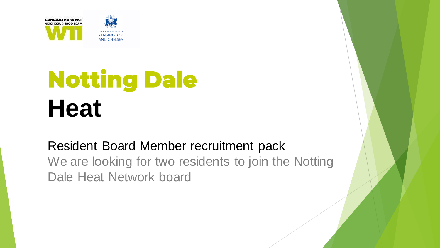

# **Notting Dale Heat**

Resident Board Member recruitment pack We are looking for two residents to join the Notting Dale Heat Network board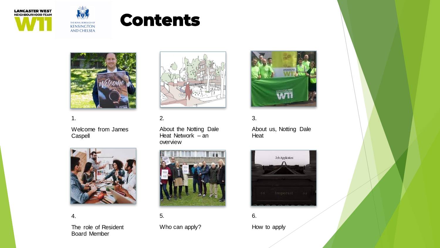



## **Contents**



#### 1.

Welcome from James **Caspell** 



4.

The role of Resident Board Member



#### 2.

About the Notting Dale Heat Network – an overview



5. Who can apply?



#### 3.

About us, Notting Dale Heat



6. How to apply

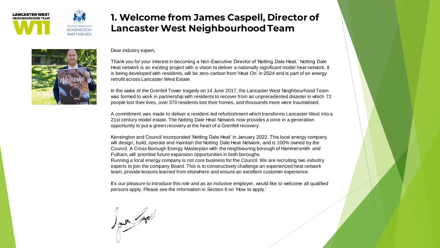

## **1. Welcome from James Caspell, Director of Lancaster West Neighbourhood Team**



Dear industry expert,

Thank you for your interest in becoming a Non-Executive Director of 'Notting Dale Heat.' Notting Dale Heat network is an exciting project with a vision to deliver a nationally significant model heat network. It is being developed with residents, will be zero-carbon from 'Heat On' in 2024 and is part of an energy retrofit across Lancaster West Estate.

In the wake of the Grenfell Tower tragedy on 14 June 2017, the Lancaster West Neighbourhood Team was formed to work in partnership with residents to recover from an unprecedented disaster in which 72 people lost their lives, over 370 residents lost their homes, and thousands more were traumatised.

A commitment was made to deliver a resident-led refurbishment which transforms Lancaster West into a 21st century model estate. The Notting Dale Heat Network now provides a once in a generation opportunity to put a green recovery at the heart of a Grenfell recovery.

Kensington and Council incorporated 'Notting Dale Heat' in January 2022. This local energy company will design, build, operate and maintain the Notting Dale Heat Network, and is 100% owned by the Council. A Cross Borough Energy Masterplan with the neighbouring borough of Hammersmith and Fulham, will prioritise future expansion opportunities in both boroughs. Running a local energy company is not core business for the Council. We are recruiting two industry experts to join the company Board. This is to constructively challenge an experienced heat network team, provide lessons learned from elsewhere and ensure an excellent customer experience.

It's our pleasure to introduce this role and as an inclusive employer, would like to welcome all qualified persons apply. Please see the information in Section 6 on 'How to apply.'

Jones 2000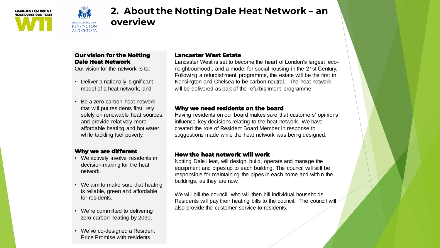



## **2. About the Notting Dale Heat Network – an overview**

#### **Our vision for the Notting Dale Heat Network**

Our vision for the network is to:

- Deliver a nationally significant model of a heat network; and
- Be a zero-carbon heat network that will put residents first, rely solely on renewable heat sources, and provide relatively more affordable heating and hot water while tackling fuel poverty.

#### **Why we are different**

- We actively involve residents in decision-making for the heat network.
- We aim to make sure that heating is reliable, green and affordable for residents.
- We're committed to delivering zero-carbon heating by 2030.
- We've co-designed a Resident Price Promise with residents.

#### **Lancaster West Estate**

Lancaster West is set to become the heart of London's largest 'econeighbourhood', and a model for social housing in the 21st Century. Following a refurbishment programme, the estate will be the first in Kensington and Chelsea to be carbon-neutral. The heat network will be delivered as part of the refurbishment programme.

#### **Why we need residents on the board**

Having residents on our board makes sure that customers' opinions influence key decisions relating to the heat network. We have created the role of Resident Board Member in response to suggestions made while the heat network was being designed.

#### **How the heat network will work**

Notting Dale Heat, will design, build, operate and manage the equipment and pipes up to each building. The council will still be responsible for maintaining the pipes in each home and within the buildings, as they are now.

We will bill the council, who will then bill individual households. Residents will pay their heating bills to the council. The council will also provide the customer service to residents.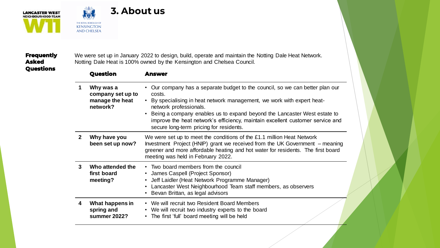



## **3. About us**

#### **Frequently Asked Questions**

We were set up in January 2022 to design, build, operate and maintain the Notting Dale Heat Network. Notting Dale Heat is 100% owned by the Kensington and Chelsea Council.

|   | Question                                                      | Answer                                                                                                                                                                                                                                                                                                                                                                                                                                   |
|---|---------------------------------------------------------------|------------------------------------------------------------------------------------------------------------------------------------------------------------------------------------------------------------------------------------------------------------------------------------------------------------------------------------------------------------------------------------------------------------------------------------------|
| 1 | Why was a<br>company set up to<br>manage the heat<br>network? | Our company has a separate budget to the council, so we can better plan our<br>$\bullet$<br>costs.<br>By specialising in heat network management, we work with expert heat-<br>$\bullet$<br>network professionals.<br>Being a company enables us to expand beyond the Lancaster West estate to<br>$\bullet$<br>improve the heat network's efficiency, maintain excellent customer service and<br>secure long-term pricing for residents. |
| 2 | Why have you<br>been set up now?                              | We were set up to meet the conditions of the £1.1 million Heat Network<br>Investment Project (HNIP) grant we received from the UK Government – meaning<br>greener and more affordable heating and hot water for residents. The first board<br>meeting was held in February 2022.                                                                                                                                                         |
| 3 | Who attended the<br>first board<br>meeting?                   | • Two board members from the council<br>• James Caspell (Project Sponsor)<br>Jeff Laidler (Heat Network Programme Manager)<br>$\bullet$<br>Lancaster West Neighbourhood Team staff members, as observers<br>$\bullet$<br>Bevan Brittan, as legal advisors<br>$\bullet$                                                                                                                                                                   |
| 4 | What happens in<br>spring and<br>summer 2022?                 | • We will recruit two Resident Board Members<br>• We will recruit two industry experts to the board<br>• The first 'full' board meeting will be held                                                                                                                                                                                                                                                                                     |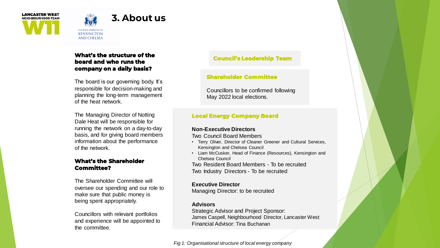



THE ROYAL BOROUGH OF **KENSINGTON AND CHELSEA** 

#### **What's the structure of the board and who runs the company on a daily basis?**

The board is our governing body. It's responsible for decision-making and planning the long-term management of the heat network.

The Managing Director of Notting Dale Heat will be responsible for running the network on a day-to-day basis, and for giving board members information about the performance of the network.

#### **What's the Shareholder Committee?**

The Shareholder Committee will oversee our spending and our role to make sure that public money is being spent appropriately.

Councillors with relevant portfolios and experience will be appointed to the committee.

#### **Council's Leadership Team**

#### **Shareholder Committee**

Councillors to be confirmed following May 2022 local elections.

#### **Local Energy Company Board**

#### **Non-Executive Directors**

Two Council Board Members

- Terry Oliver, Director of Cleaner Greener and Cultural Services, Kensington and Chelsea Council
- Liam McCusker, Head of Finance (Resources), Kensington and Chelsea Council

Two Resident Board Members - To be recruited Two Industry Directors - To be recruited

#### **Executive Director**

Managing Director: to be recruited

#### **Advisors**

Strategic Advisor and Project Sponsor: James Caspell, Neighbourhood Director, Lancaster West Financial Advisor: Tina Buchanan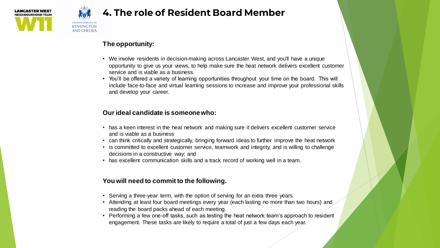



**KENSINGTON** AND CHELSEA

## **4. The role of Resident Board Member**

#### **The opportunity:**

- We involve residents in decision-making across Lancaster West, and you'll have a unique opportunity to give us your views, to help make sure the heat network delivers excellent customer service and is viable as a business.
- You'll be offered a variety of learning opportunities throughout your time on the board. This will include face-to-face and virtual learning sessions to increase and improve your professional skills and develop your career.

#### **Our ideal candidate is someone who:**

- has a keen interest in the heat network and making sure it delivers excellent customer service and is viable as a business
- can think critically and strategically, bringing forward ideas to further improve the heat network
- is committed to excellent customer service, teamwork and integrity, and is willing to challenge decisions in a constructive way; and
- has excellent communication skills and a track record of working well in a team.

#### **You will need to commit to the following.**

- Serving a three-year term, with the option of serving for an extra three years.
- Attending at least four board meetings every year (each lasting no more than two hours) and reading the board packs ahead of each meeting.
- Performing a few one-off tasks, such as testing the heat network team's approach to resident engagement. These tasks are likely to require a total of just a few days each year.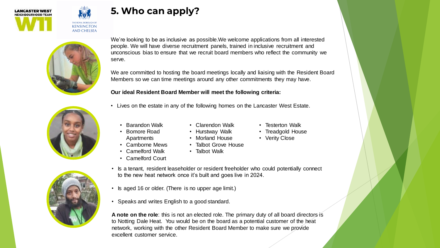

## **5. Who can apply?**



**KENSINGTON AND CHELSEA** 

> We're looking to be as inclusive as possible.We welcome applications from all interested people. We will have diverse recruitment panels, trained in inclusive recruitment and unconscious bias to ensure that we recruit board members who reflect the community we serve.

We are committed to hosting the board meetings locally and liaising with the Resident Board Members so we can time meetings around any other commitments they may have.

#### **Our ideal Resident Board Member will meet the following criteria:**

- 
- 



- Lives on the estate in any of the following homes on the Lancaster West Estate.
	- Barandon Walk • Bomore Road

Apartments • Camborne Mews

- Clarendon Walk
- Hurstway Walk
	- Morland House
- Talbot Grove House
- Camelford Walk
- Camelford Court
- Talbot Walk
- Is a tenant, resident leaseholder or resident freeholder who could potentially connect to the new heat network once it's built and goes live in 2024.
- Is aged 16 or older. (There is no upper age limit.)
- Speaks and writes English to a good standard.

**A note on the role**: this is not an elected role. The primary duty of all board directors is to Notting Dale Heat. You would be on the board as a potential customer of the heat network, working with the other Resident Board Member to make sure we provide excellent customer service.

- Testerton Walk
- Treadgold House
- Verity Close